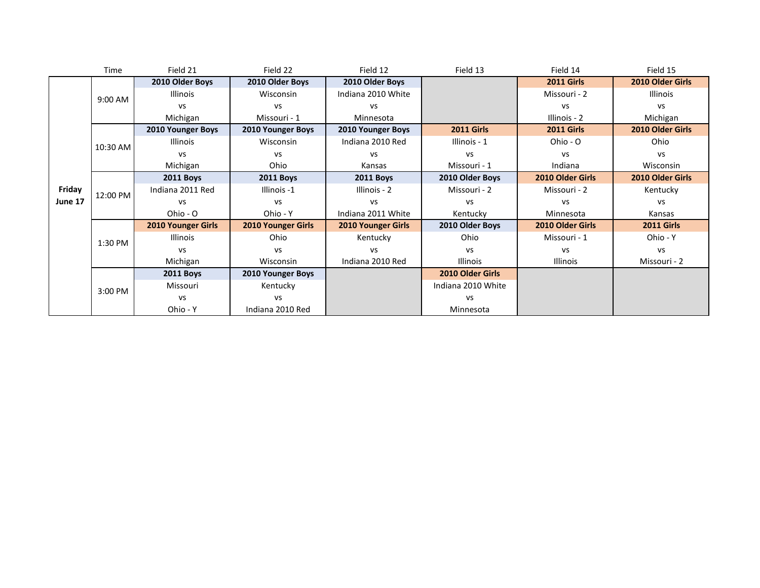|         | Time     | Field 21                  | Field 22                  | Field 12                  | Field 13           | Field 14          | Field 15          |
|---------|----------|---------------------------|---------------------------|---------------------------|--------------------|-------------------|-------------------|
|         |          | 2010 Older Boys           | 2010 Older Boys           | 2010 Older Boys           |                    | <b>2011 Girls</b> | 2010 Older Girls  |
|         | 9:00 AM  | <b>Illinois</b>           | Wisconsin                 | Indiana 2010 White        |                    | Missouri - 2      | Illinois          |
|         |          | VS                        | <b>VS</b>                 | VS                        |                    | vs                | vs                |
|         |          | Michigan                  | Missouri - 1              | Minnesota                 |                    | Illinois - 2      | Michigan          |
|         |          | 2010 Younger Boys         | 2010 Younger Boys         | 2010 Younger Boys         | <b>2011 Girls</b>  | <b>2011 Girls</b> | 2010 Older Girls  |
|         | 10:30 AM | <b>Illinois</b>           | Wisconsin                 | Indiana 2010 Red          | Illinois - 1       | Ohio - O          | Ohio              |
|         |          | VS                        | <b>VS</b>                 | VS                        | <b>VS</b>          | <b>VS</b>         | VS                |
|         |          | Michigan                  | Ohio                      | Kansas                    | Missouri - 1       | Indiana           | Wisconsin         |
|         | 12:00 PM | <b>2011 Boys</b>          | <b>2011 Boys</b>          | <b>2011 Boys</b>          | 2010 Older Boys    | 2010 Older Girls  | 2010 Older Girls  |
| Friday  |          | Indiana 2011 Red          | Illinois -1               | Illinois - 2              | Missouri - 2       | Missouri - 2      | Kentucky          |
| June 17 |          | <b>VS</b>                 | <b>VS</b>                 | VS                        | <b>VS</b>          | <b>VS</b>         | VS                |
|         |          | Ohio - O                  | Ohio - Y                  | Indiana 2011 White        | Kentucky           | Minnesota         | Kansas            |
|         |          | <b>2010 Younger Girls</b> | <b>2010 Younger Girls</b> | <b>2010 Younger Girls</b> | 2010 Older Boys    | 2010 Older Girls  | <b>2011 Girls</b> |
|         | 1:30 PM  | <b>Illinois</b>           | Ohio                      | Kentucky                  | Ohio               | Missouri - 1      | Ohio - Y          |
|         |          | <b>VS</b>                 | <b>VS</b>                 | VS                        | <b>VS</b>          | <b>VS</b>         | vs                |
|         |          | Michigan                  | Wisconsin                 | Indiana 2010 Red          | <b>Illinois</b>    | <b>Illinois</b>   | Missouri - 2      |
|         |          | <b>2011 Boys</b>          | 2010 Younger Boys         |                           | 2010 Older Girls   |                   |                   |
|         | 3:00 PM  | Missouri                  | Kentucky                  |                           | Indiana 2010 White |                   |                   |
|         |          | vs                        | <b>VS</b>                 |                           | <b>VS</b>          |                   |                   |
|         |          | Ohio - Y                  | Indiana 2010 Red          |                           | Minnesota          |                   |                   |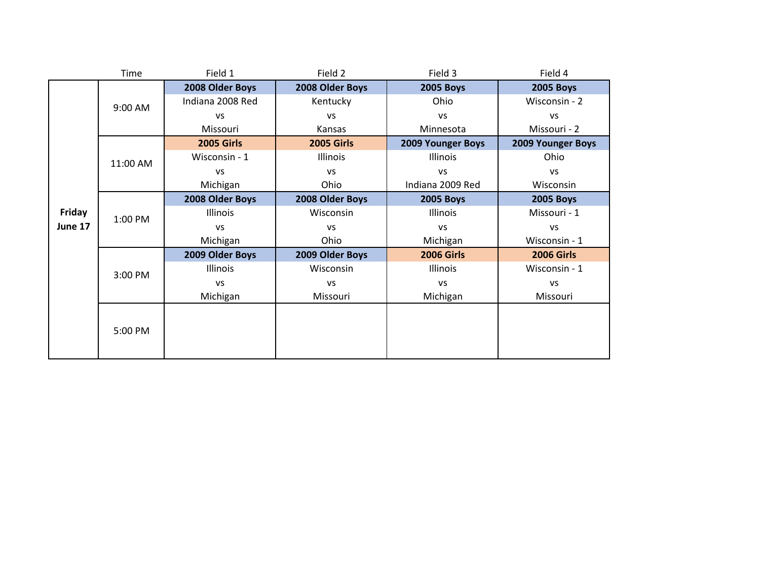|         | Time     | Field 1           | Field 2           | Field 3                  | Field 4           |
|---------|----------|-------------------|-------------------|--------------------------|-------------------|
|         |          | 2008 Older Boys   | 2008 Older Boys   | <b>2005 Boys</b>         | <b>2005 Boys</b>  |
|         | 9:00 AM  | Indiana 2008 Red  | Kentucky          | Ohio                     | Wisconsin - 2     |
|         |          | VS                | <b>VS</b>         | <b>VS</b>                | <b>VS</b>         |
|         |          | Missouri          | Kansas            | Minnesota                | Missouri - 2      |
|         |          | <b>2005 Girls</b> | <b>2005 Girls</b> | <b>2009 Younger Boys</b> | 2009 Younger Boys |
|         | 11:00 AM | Wisconsin - 1     | Illinois          | Illinois                 | Ohio              |
|         |          | VS                | <b>VS</b>         | VS                       | <b>VS</b>         |
|         |          | Michigan          | Ohio              | Indiana 2009 Red         | Wisconsin         |
|         |          | 2008 Older Boys   | 2008 Older Boys   | <b>2005 Boys</b>         | <b>2005 Boys</b>  |
| Friday  | 1:00 PM  | <b>Illinois</b>   | Wisconsin         | Illinois                 | Missouri - 1      |
| June 17 |          | <b>VS</b>         | <b>VS</b>         | VS                       | <b>VS</b>         |
|         |          | Michigan          | Ohio              | Michigan                 | Wisconsin - 1     |
|         |          | 2009 Older Boys   | 2009 Older Boys   | <b>2006 Girls</b>        | <b>2006 Girls</b> |
|         | 3:00 PM  | Illinois          | Wisconsin         | Illinois                 | Wisconsin - 1     |
|         |          | <b>VS</b>         | <b>VS</b>         | VS                       | VS                |
|         |          | Michigan          | Missouri          | Michigan                 | Missouri          |
|         |          |                   |                   |                          |                   |
|         | 5:00 PM  |                   |                   |                          |                   |
|         |          |                   |                   |                          |                   |
|         |          |                   |                   |                          |                   |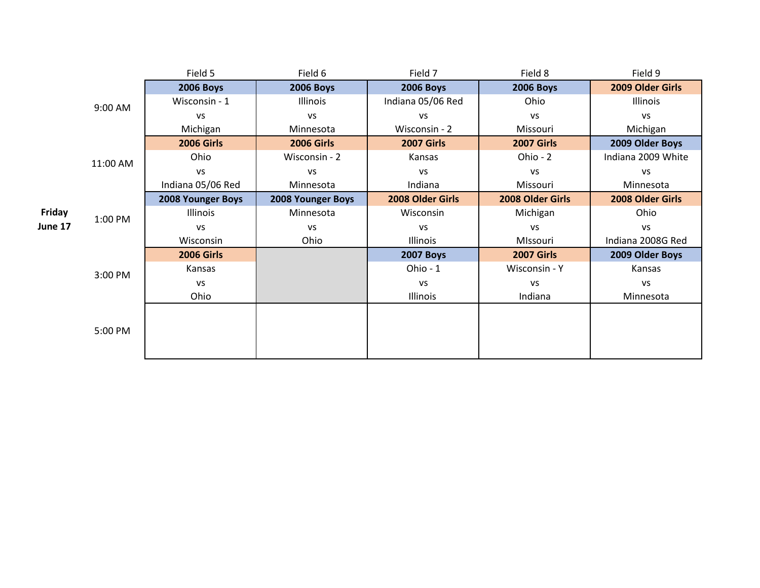|         |          | Field 5           | Field 6           | Field 7           | Field 8           | Field 9            |
|---------|----------|-------------------|-------------------|-------------------|-------------------|--------------------|
|         |          | <b>2006 Boys</b>  | <b>2006 Boys</b>  | <b>2006 Boys</b>  | <b>2006 Boys</b>  | 2009 Older Girls   |
|         | 9:00 AM  | Wisconsin - 1     | Illinois          | Indiana 05/06 Red | Ohio              | Illinois           |
|         |          | VS                | <b>VS</b>         | <b>VS</b>         | <b>VS</b>         | <b>VS</b>          |
|         |          | Michigan          | Minnesota         | Wisconsin - 2     | Missouri          | Michigan           |
|         |          | <b>2006 Girls</b> | <b>2006 Girls</b> | <b>2007 Girls</b> | <b>2007 Girls</b> | 2009 Older Boys    |
|         | 11:00 AM | Ohio              | Wisconsin - 2     | Kansas            | Ohio - 2          | Indiana 2009 White |
|         |          | <b>VS</b>         | <b>VS</b>         | <b>VS</b>         | <b>VS</b>         | VS                 |
|         |          | Indiana 05/06 Red | Minnesota         | Indiana           | Missouri          | Minnesota          |
|         |          | 2008 Younger Boys | 2008 Younger Boys | 2008 Older Girls  | 2008 Older Girls  | 2008 Older Girls   |
| Friday  | 1:00 PM  | Illinois          | Minnesota         | Wisconsin         | Michigan          | Ohio               |
| June 17 |          | VS                | <b>VS</b>         | <b>VS</b>         | <b>VS</b>         | <b>VS</b>          |
|         |          | Wisconsin         | Ohio              | Illinois          | MIssouri          | Indiana 2008G Red  |
|         |          | <b>2006 Girls</b> |                   | <b>2007 Boys</b>  | <b>2007 Girls</b> | 2009 Older Boys    |
|         | 3:00 PM  | Kansas            |                   | Ohio - 1          | Wisconsin - Y     | Kansas             |
|         |          | VS                |                   | <b>VS</b>         | VS                | <b>VS</b>          |
|         |          | Ohio              |                   | Illinois          | Indiana           | Minnesota          |
|         |          |                   |                   |                   |                   |                    |
|         | 5:00 PM  |                   |                   |                   |                   |                    |
|         |          |                   |                   |                   |                   |                    |
|         |          |                   |                   |                   |                   |                    |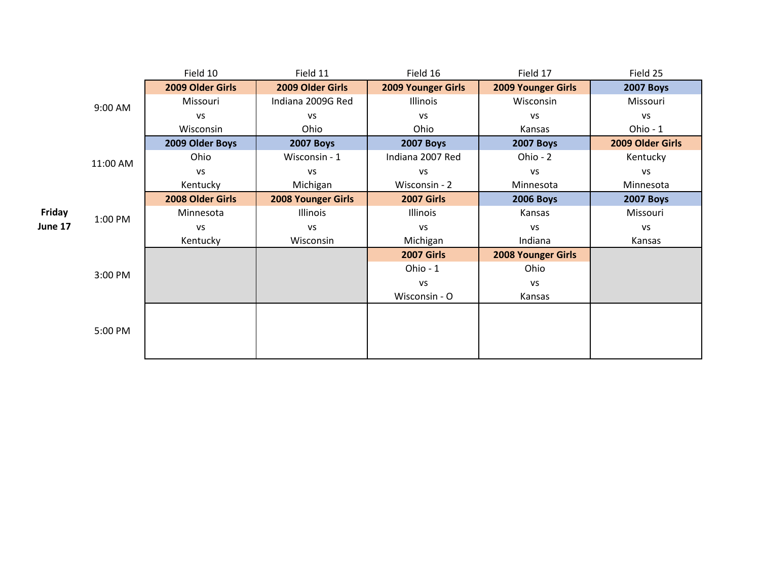|         |          | Field 10         | Field 11           | Field 16                  | Field 17           | Field 25         |
|---------|----------|------------------|--------------------|---------------------------|--------------------|------------------|
|         |          | 2009 Older Girls | 2009 Older Girls   | <b>2009 Younger Girls</b> | 2009 Younger Girls | <b>2007 Boys</b> |
|         | 9:00 AM  | Missouri         | Indiana 2009G Red  | Illinois                  | Wisconsin          | Missouri         |
|         |          | <b>VS</b>        | VS                 | <b>VS</b>                 | VS                 | VS               |
|         |          | Wisconsin        | Ohio               | Ohio                      | Kansas             | Ohio - 1         |
|         |          | 2009 Older Boys  | <b>2007 Boys</b>   | <b>2007 Boys</b>          | <b>2007 Boys</b>   | 2009 Older Girls |
|         | 11:00 AM | Ohio             | Wisconsin - 1      | Indiana 2007 Red          | Ohio - 2           | Kentucky         |
|         |          | <b>VS</b>        | <b>VS</b>          | VS                        | VS                 | VS               |
|         |          | Kentucky         | Michigan           | Wisconsin - 2             | Minnesota          | Minnesota        |
|         |          | 2008 Older Girls | 2008 Younger Girls | <b>2007 Girls</b>         | <b>2006 Boys</b>   | <b>2007 Boys</b> |
| Friday  | 1:00 PM  | Minnesota        | Illinois           | Illinois                  | Kansas             | Missouri         |
| June 17 |          | <b>VS</b>        | VS                 | <b>VS</b>                 | <b>VS</b>          | VS               |
|         |          | Kentucky         | Wisconsin          | Michigan                  | Indiana            | Kansas           |
|         |          |                  |                    | <b>2007 Girls</b>         | 2008 Younger Girls |                  |
|         | 3:00 PM  |                  |                    | Ohio - 1                  | Ohio               |                  |
|         |          |                  |                    | VS                        | VS                 |                  |
|         |          |                  |                    | Wisconsin - O             | Kansas             |                  |
|         |          |                  |                    |                           |                    |                  |
|         | 5:00 PM  |                  |                    |                           |                    |                  |
|         |          |                  |                    |                           |                    |                  |
|         |          |                  |                    |                           |                    |                  |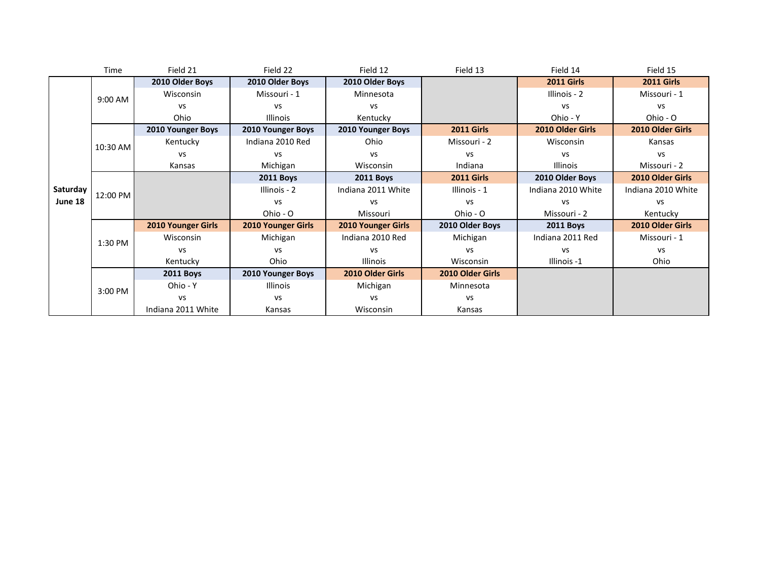|          | Time     | Field 21                  | Field 22           | Field 12                  | Field 13          | Field 14           | Field 15           |
|----------|----------|---------------------------|--------------------|---------------------------|-------------------|--------------------|--------------------|
|          |          | 2010 Older Boys           | 2010 Older Boys    | 2010 Older Boys           |                   | <b>2011 Girls</b>  | <b>2011 Girls</b>  |
|          | 9:00 AM  | Wisconsin                 | Missouri - 1       | Minnesota                 |                   | Illinois - 2       | Missouri - 1       |
|          |          | <b>VS</b>                 | <b>VS</b>          | <b>VS</b>                 |                   | vs                 | VS                 |
|          |          | Ohio                      | Illinois           | Kentucky                  |                   | Ohio - Y           | Ohio - O           |
|          |          | 2010 Younger Boys         | 2010 Younger Boys  | 2010 Younger Boys         | <b>2011 Girls</b> | 2010 Older Girls   | 2010 Older Girls   |
|          | 10:30 AM | Kentucky                  | Indiana 2010 Red   | Ohio                      | Missouri - 2      | Wisconsin          | Kansas             |
|          |          | <b>VS</b>                 | vs                 | <b>VS</b>                 | <b>VS</b>         | vs                 | vs                 |
|          |          | Kansas                    | Michigan           | Wisconsin                 | Indiana           | <b>Illinois</b>    | Missouri - 2       |
|          | 12:00 PM |                           | <b>2011 Boys</b>   | <b>2011 Boys</b>          | <b>2011 Girls</b> | 2010 Older Boys    | 2010 Older Girls   |
| Saturday |          |                           | Illinois - 2       | Indiana 2011 White        | Illinois - 1      | Indiana 2010 White | Indiana 2010 White |
| June 18  |          |                           | <b>VS</b>          | <b>VS</b>                 | <b>VS</b>         | <b>VS</b>          | VS                 |
|          |          |                           | Ohio - O           | Missouri                  | Ohio - O          | Missouri - 2       | Kentucky           |
|          |          | <b>2010 Younger Girls</b> | 2010 Younger Girls | <b>2010 Younger Girls</b> | 2010 Older Boys   | <b>2011 Boys</b>   | 2010 Older Girls   |
|          | 1:30 PM  | Wisconsin                 | Michigan           | Indiana 2010 Red          | Michigan          | Indiana 2011 Red   | Missouri - 1       |
|          |          | <b>VS</b>                 | <b>VS</b>          | <b>VS</b>                 | <b>VS</b>         | vs                 | vs                 |
|          |          | Kentucky                  | Ohio               | Illinois                  | Wisconsin         | Illinois -1        | Ohio               |
|          |          | <b>2011 Boys</b>          | 2010 Younger Boys  | 2010 Older Girls          | 2010 Older Girls  |                    |                    |
|          | 3:00 PM  | Ohio - Y                  | Illinois           | Michigan                  | Minnesota         |                    |                    |
|          |          | <b>VS</b>                 | vs                 | <b>VS</b>                 | <b>VS</b>         |                    |                    |
|          |          | Indiana 2011 White        | Kansas             | Wisconsin                 | Kansas            |                    |                    |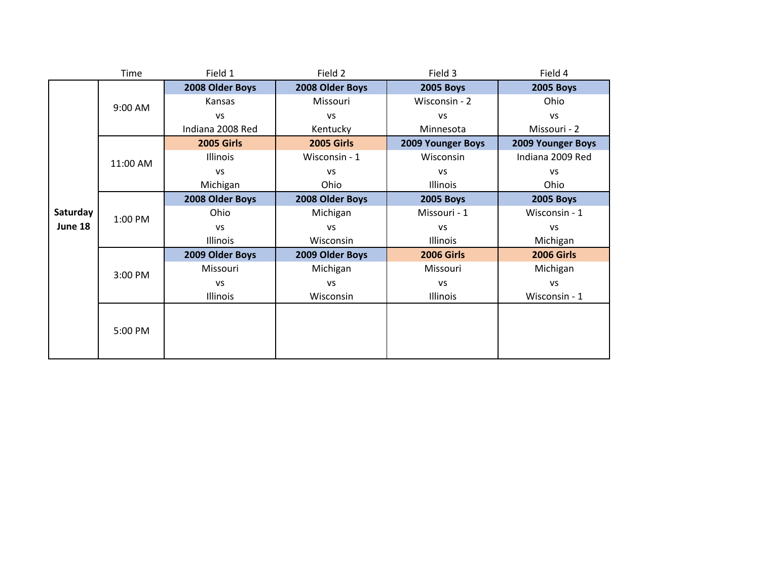|          | Time     | Field 1           | Field 2           | Field 3                  | Field 4           |
|----------|----------|-------------------|-------------------|--------------------------|-------------------|
|          |          | 2008 Older Boys   | 2008 Older Boys   | <b>2005 Boys</b>         | <b>2005 Boys</b>  |
|          | 9:00 AM  | Kansas            | Missouri          | Wisconsin - 2            | Ohio              |
|          |          | <b>VS</b>         | <b>VS</b>         | VS                       | <b>VS</b>         |
|          |          | Indiana 2008 Red  | Kentucky          | Minnesota                | Missouri - 2      |
|          |          | <b>2005 Girls</b> | <b>2005 Girls</b> | <b>2009 Younger Boys</b> | 2009 Younger Boys |
|          | 11:00 AM | Illinois          | Wisconsin - 1     | Wisconsin                | Indiana 2009 Red  |
|          |          | <b>VS</b>         | <b>VS</b>         | <b>VS</b>                | <b>VS</b>         |
|          |          | Michigan          | Ohio              | Illinois                 | Ohio              |
|          | 1:00 PM  | 2008 Older Boys   | 2008 Older Boys   | <b>2005 Boys</b>         | <b>2005 Boys</b>  |
| Saturday |          | Ohio              | Michigan          | Missouri - 1             | Wisconsin - 1     |
| June 18  |          | <b>VS</b>         | <b>VS</b>         | <b>VS</b>                | <b>VS</b>         |
|          |          | Illinois          | Wisconsin         | Illinois                 | Michigan          |
|          |          | 2009 Older Boys   | 2009 Older Boys   | <b>2006 Girls</b>        | <b>2006 Girls</b> |
|          | 3:00 PM  | Missouri          | Michigan          | Missouri                 | Michigan          |
|          |          | <b>VS</b>         | <b>VS</b>         | <b>VS</b>                | <b>VS</b>         |
|          |          | Illinois          | Wisconsin         | Illinois                 | Wisconsin - 1     |
|          |          |                   |                   |                          |                   |
|          | 5:00 PM  |                   |                   |                          |                   |
|          |          |                   |                   |                          |                   |
|          |          |                   |                   |                          |                   |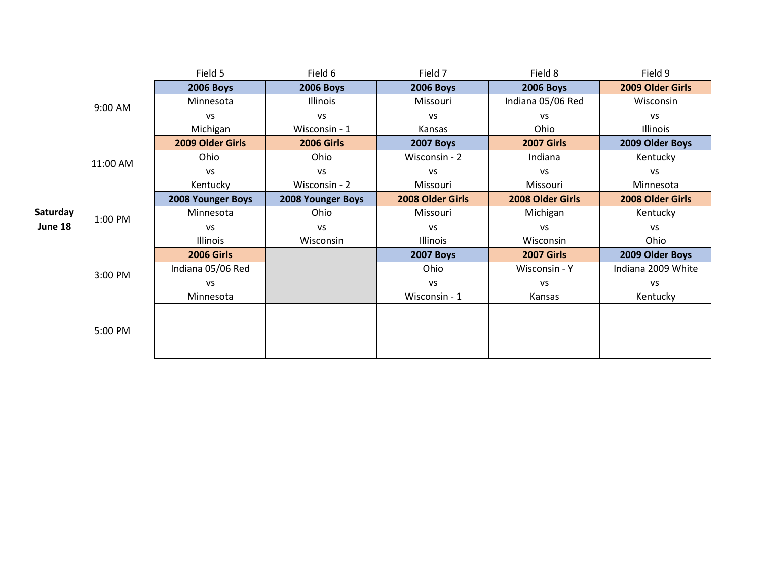|          |          | Field 5           | Field 6           | Field 7          | Field 8           | Field 9            |
|----------|----------|-------------------|-------------------|------------------|-------------------|--------------------|
|          |          | <b>2006 Boys</b>  | <b>2006 Boys</b>  | <b>2006 Boys</b> | <b>2006 Boys</b>  | 2009 Older Girls   |
|          | 9:00 AM  | Minnesota         | Illinois          | Missouri         | Indiana 05/06 Red | Wisconsin          |
|          |          | <b>VS</b>         | <b>VS</b>         | VS               | VS                | VS                 |
|          |          | Michigan          | Wisconsin - 1     | Kansas           | Ohio              | Illinois           |
|          |          | 2009 Older Girls  | <b>2006 Girls</b> | <b>2007 Boys</b> | <b>2007 Girls</b> | 2009 Older Boys    |
|          | 11:00 AM | Ohio              | Ohio              | Wisconsin - 2    | Indiana           | Kentucky           |
|          |          | <b>VS</b>         | <b>VS</b>         | VS               | <b>VS</b>         | <b>VS</b>          |
|          |          | Kentucky          | Wisconsin - 2     | Missouri         | Missouri          | Minnesota          |
|          | 1:00 PM  | 2008 Younger Boys | 2008 Younger Boys | 2008 Older Girls | 2008 Older Girls  | 2008 Older Girls   |
| Saturday |          | Minnesota         | Ohio              | Missouri         | Michigan          | Kentucky           |
| June 18  |          | <b>VS</b>         | <b>VS</b>         | VS               | <b>VS</b>         | <b>VS</b>          |
|          |          | Illinois          | Wisconsin         | Illinois         | Wisconsin         | Ohio               |
|          |          | <b>2006 Girls</b> |                   | <b>2007 Boys</b> | <b>2007 Girls</b> | 2009 Older Boys    |
|          | 3:00 PM  | Indiana 05/06 Red |                   | Ohio             | Wisconsin - Y     | Indiana 2009 White |
|          |          | <b>VS</b>         |                   | <b>VS</b>        | <b>VS</b>         | <b>VS</b>          |
|          |          | Minnesota         |                   | Wisconsin - 1    | Kansas            | Kentucky           |
|          |          |                   |                   |                  |                   |                    |
|          | 5:00 PM  |                   |                   |                  |                   |                    |
|          |          |                   |                   |                  |                   |                    |
|          |          |                   |                   |                  |                   |                    |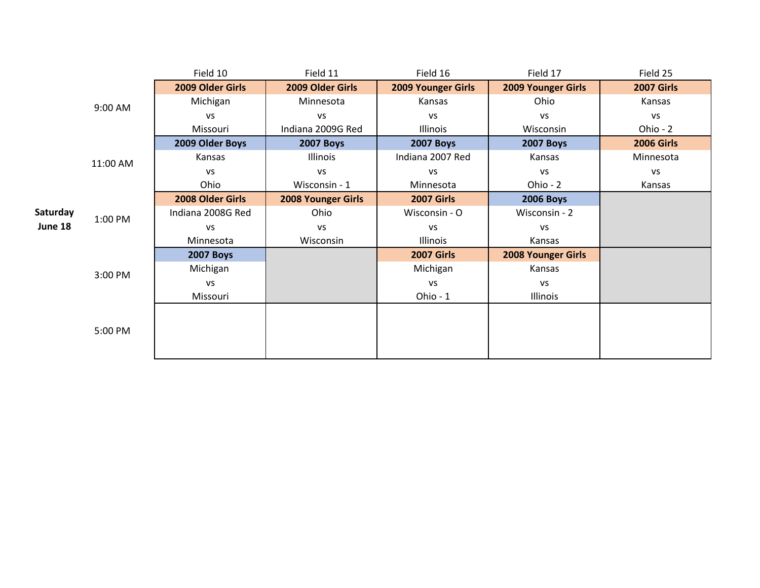|          |          | Field 10          | Field 11                  | Field 16                  | Field 17                  | Field 25          |
|----------|----------|-------------------|---------------------------|---------------------------|---------------------------|-------------------|
|          |          | 2009 Older Girls  | 2009 Older Girls          | <b>2009 Younger Girls</b> | <b>2009 Younger Girls</b> | <b>2007 Girls</b> |
|          | 9:00 AM  | Michigan          | Minnesota                 | Kansas                    | Ohio                      | Kansas            |
|          |          | VS                | VS                        | vs                        | <b>VS</b>                 | VS                |
|          |          | Missouri          | Indiana 2009G Red         | Illinois                  | Wisconsin                 | Ohio - 2          |
|          |          | 2009 Older Boys   | <b>2007 Boys</b>          | <b>2007 Boys</b>          | <b>2007 Boys</b>          | <b>2006 Girls</b> |
|          | 11:00 AM | Kansas            | Illinois                  | Indiana 2007 Red          | Kansas                    | Minnesota         |
|          |          | VS                | VS                        | VS                        | <b>VS</b>                 | VS                |
|          |          | Ohio              | Wisconsin - 1             | Minnesota                 | Ohio - 2                  | Kansas            |
|          | 1:00 PM  | 2008 Older Girls  | <b>2008 Younger Girls</b> | <b>2007 Girls</b>         | <b>2006 Boys</b>          |                   |
| Saturday |          | Indiana 2008G Red | Ohio                      | Wisconsin - O             | Wisconsin - 2             |                   |
| June 18  |          | VS                | VS                        | VS                        | <b>VS</b>                 |                   |
|          |          | Minnesota         | Wisconsin                 | Illinois                  | Kansas                    |                   |
|          |          | <b>2007 Boys</b>  |                           | <b>2007 Girls</b>         | <b>2008 Younger Girls</b> |                   |
|          | 3:00 PM  | Michigan          |                           | Michigan                  | Kansas                    |                   |
|          |          | VS                |                           | VS                        | VS                        |                   |
|          |          | Missouri          |                           | Ohio - 1                  | Illinois                  |                   |
|          |          |                   |                           |                           |                           |                   |
|          | 5:00 PM  |                   |                           |                           |                           |                   |
|          |          |                   |                           |                           |                           |                   |
|          |          |                   |                           |                           |                           |                   |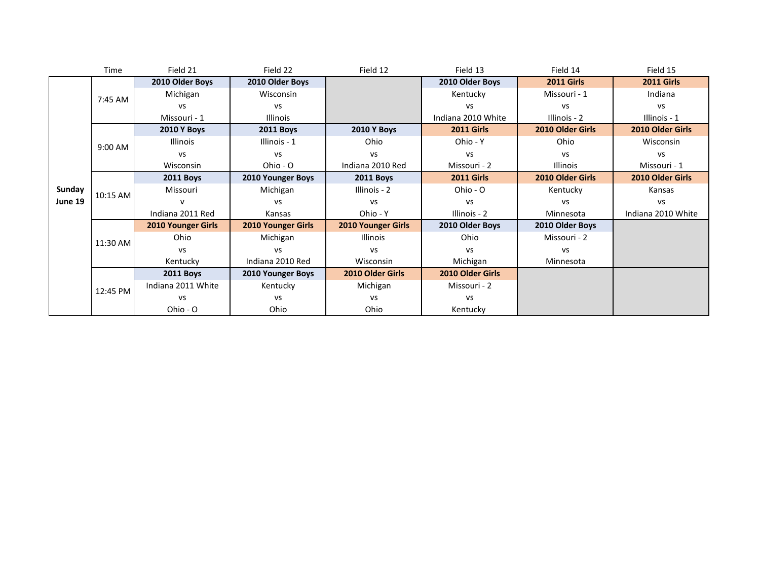|         | Time     | Field 21                  | Field 22                  | Field 12                  | Field 13           | Field 14          | Field 15           |
|---------|----------|---------------------------|---------------------------|---------------------------|--------------------|-------------------|--------------------|
|         |          | 2010 Older Boys           | 2010 Older Boys           |                           | 2010 Older Boys    | <b>2011 Girls</b> | <b>2011 Girls</b>  |
|         | 7:45 AM  | Michigan                  | <b>Wisconsin</b>          |                           | Kentucky           | Missouri - 1      | Indiana            |
|         |          | <b>VS</b>                 | <b>VS</b>                 |                           | <b>VS</b>          | vs                | <b>VS</b>          |
|         |          | Missouri - 1              | <b>Illinois</b>           |                           | Indiana 2010 White | Illinois - 2      | Illinois - 1       |
|         |          | <b>2010 Y Boys</b>        | <b>2011 Boys</b>          | <b>2010 Y Boys</b>        | <b>2011 Girls</b>  | 2010 Older Girls  | 2010 Older Girls   |
|         | 9:00 AM  | Illinois                  | Illinois - 1              | Ohio                      | Ohio - Y           | Ohio              | Wisconsin          |
|         |          | <b>VS</b>                 | <b>VS</b>                 | VS                        | VS                 | <b>VS</b>         | VS                 |
|         |          | Wisconsin                 | Ohio - O                  | Indiana 2010 Red          | Missouri - 2       | <b>Illinois</b>   | Missouri - 1       |
|         | 10:15 AM | <b>2011 Boys</b>          | 2010 Younger Boys         | <b>2011 Boys</b>          | <b>2011 Girls</b>  | 2010 Older Girls  | 2010 Older Girls   |
| Sunday  |          | Missouri                  | Michigan                  | Illinois - 2              | Ohio - O           | Kentucky          | Kansas             |
| June 19 |          |                           | <b>VS</b>                 | <b>VS</b>                 | <b>VS</b>          | VS                | <b>VS</b>          |
|         |          | Indiana 2011 Red          | Kansas                    | Ohio - Y                  | Illinois - 2       | Minnesota         | Indiana 2010 White |
|         |          | <b>2010 Younger Girls</b> | <b>2010 Younger Girls</b> | <b>2010 Younger Girls</b> | 2010 Older Boys    | 2010 Older Boys   |                    |
|         | 11:30 AM | Ohio                      | Michigan                  | <b>Illinois</b>           | Ohio               | Missouri - 2      |                    |
|         |          | <b>VS</b>                 | <b>VS</b>                 | <b>VS</b>                 | <b>VS</b>          | <b>VS</b>         |                    |
|         |          | Kentucky                  | Indiana 2010 Red          | Wisconsin                 | Michigan           | Minnesota         |                    |
|         |          | <b>2011 Boys</b>          | 2010 Younger Boys         | 2010 Older Girls          | 2010 Older Girls   |                   |                    |
|         | 12:45 PM | Indiana 2011 White        | Kentucky                  | Michigan                  | Missouri - 2       |                   |                    |
|         |          | <b>VS</b>                 | <b>VS</b>                 | <b>VS</b>                 | <b>VS</b>          |                   |                    |
|         |          | Ohio - O                  | Ohio                      | Ohio                      | Kentucky           |                   |                    |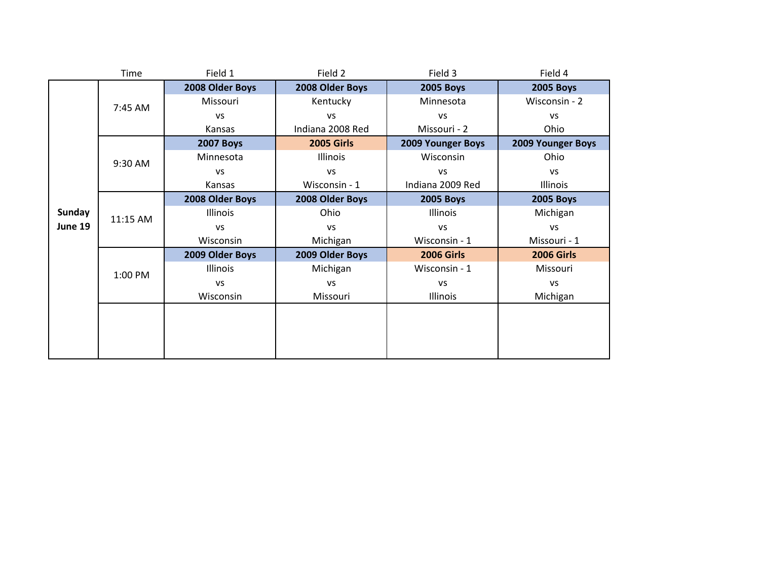|         | Time     | Field 1          | Field 2           | Field 3           | Field 4           |
|---------|----------|------------------|-------------------|-------------------|-------------------|
|         |          | 2008 Older Boys  | 2008 Older Boys   | <b>2005 Boys</b>  | <b>2005 Boys</b>  |
|         | 7:45 AM  | Missouri         | Kentucky          | Minnesota         | Wisconsin - 2     |
|         |          | <b>VS</b>        | <b>VS</b>         | <b>VS</b>         | <b>VS</b>         |
|         |          | Kansas           | Indiana 2008 Red  | Missouri - 2      | Ohio              |
|         |          | <b>2007 Boys</b> | <b>2005 Girls</b> | 2009 Younger Boys | 2009 Younger Boys |
|         | 9:30 AM  | Minnesota        | Illinois          | Wisconsin         | Ohio              |
|         |          | <b>VS</b>        | <b>VS</b>         | VS                | <b>VS</b>         |
|         |          | Kansas           | Wisconsin - 1     | Indiana 2009 Red  | Illinois          |
|         | 11:15 AM | 2008 Older Boys  | 2008 Older Boys   | <b>2005 Boys</b>  | <b>2005 Boys</b>  |
| Sunday  |          | Illinois         | Ohio              | <b>Illinois</b>   | Michigan          |
| June 19 |          | <b>VS</b>        | <b>VS</b>         | <b>VS</b>         | <b>VS</b>         |
|         |          | Wisconsin        | Michigan          | Wisconsin - 1     | Missouri - 1      |
|         |          | 2009 Older Boys  | 2009 Older Boys   | <b>2006 Girls</b> | <b>2006 Girls</b> |
|         | 1:00 PM  | Illinois         | Michigan          | Wisconsin - 1     | Missouri          |
|         |          | <b>VS</b>        | <b>VS</b>         | <b>VS</b>         | <b>VS</b>         |
|         |          | Wisconsin        | Missouri          | Illinois          | Michigan          |
|         |          |                  |                   |                   |                   |
|         |          |                  |                   |                   |                   |
|         |          |                  |                   |                   |                   |
|         |          |                  |                   |                   |                   |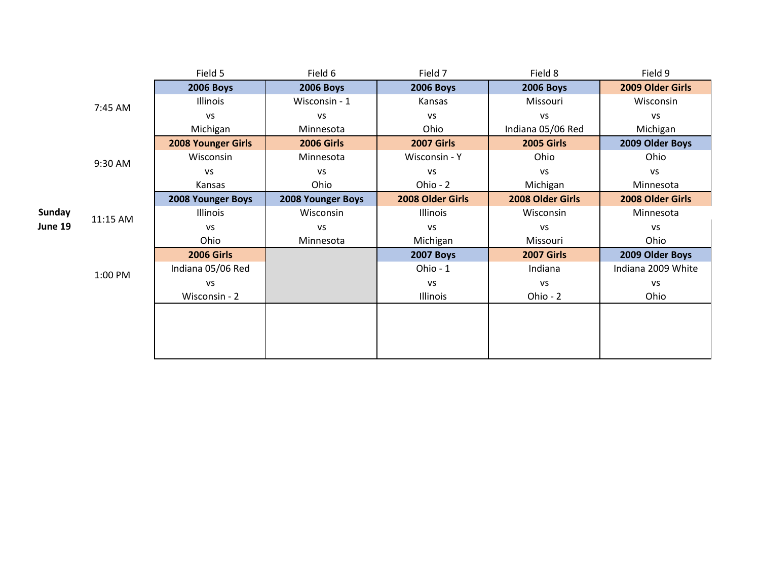|               |          | Field 5                   | Field 6           | Field 7           | Field 8           | Field 9            |
|---------------|----------|---------------------------|-------------------|-------------------|-------------------|--------------------|
|               |          | <b>2006 Boys</b>          | <b>2006 Boys</b>  | <b>2006 Boys</b>  | <b>2006 Boys</b>  | 2009 Older Girls   |
|               | 7:45 AM  | Illinois                  | Wisconsin - 1     | Kansas            | Missouri          | Wisconsin          |
|               |          | <b>VS</b>                 | VS                | <b>VS</b>         | VS                | <b>VS</b>          |
|               |          | Michigan                  | Minnesota         | Ohio              | Indiana 05/06 Red | Michigan           |
|               |          | <b>2008 Younger Girls</b> | <b>2006 Girls</b> | <b>2007 Girls</b> | <b>2005 Girls</b> | 2009 Older Boys    |
|               | 9:30 AM  | Wisconsin                 | Minnesota         | Wisconsin - Y     | Ohio              | Ohio               |
|               |          | <b>VS</b>                 | VS                | <b>VS</b>         | VS                | <b>VS</b>          |
|               |          | Kansas                    | Ohio              | Ohio - 2          | Michigan          | Minnesota          |
|               |          | 2008 Younger Boys         | 2008 Younger Boys | 2008 Older Girls  | 2008 Older Girls  | 2008 Older Girls   |
| <b>Sunday</b> | 11:15 AM | Illinois                  | Wisconsin         | Illinois          | Wisconsin         | Minnesota          |
| June 19       |          | <b>VS</b>                 | VS                | VS                | VS                | <b>VS</b>          |
|               |          | Ohio                      | Minnesota         | Michigan          | Missouri          | Ohio               |
|               |          | <b>2006 Girls</b>         |                   | <b>2007 Boys</b>  | <b>2007 Girls</b> | 2009 Older Boys    |
|               | 1:00 PM  | Indiana 05/06 Red         |                   | Ohio - 1          | Indiana           | Indiana 2009 White |
|               |          | <b>VS</b>                 |                   | <b>VS</b>         | VS                | <b>VS</b>          |
|               |          | Wisconsin - 2             |                   | Illinois          | Ohio - 2          | Ohio               |
|               |          |                           |                   |                   |                   |                    |
|               |          |                           |                   |                   |                   |                    |
|               |          |                           |                   |                   |                   |                    |
|               |          |                           |                   |                   |                   |                    |